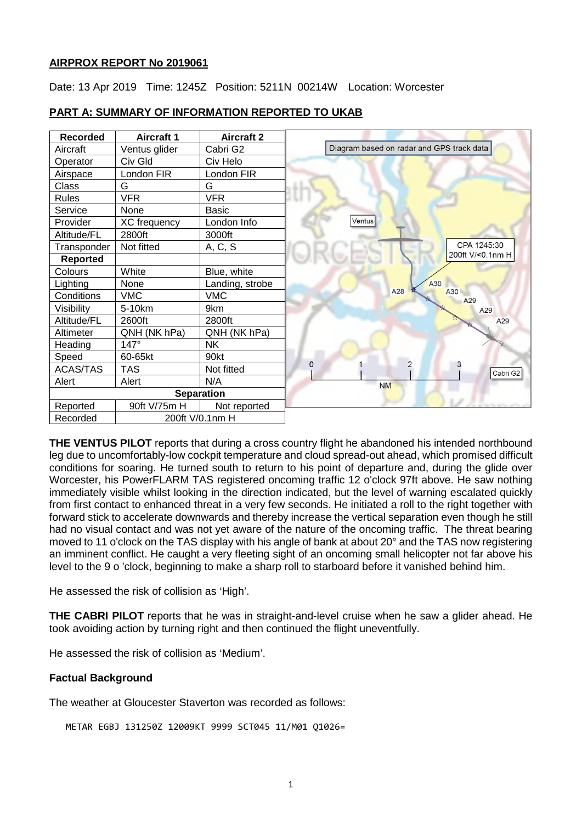## **AIRPROX REPORT No 2019061**

Date: 13 Apr 2019 Time: 1245Z Position: 5211N 00214W Location: Worcester

| <b>Recorded</b>   | <b>Aircraft 1</b> | <b>Aircraft 2</b> |  |
|-------------------|-------------------|-------------------|--|
| Aircraft          | Ventus glider     | Cabri G2          |  |
| Operator          | Civ Gld           | Civ Helo          |  |
| Airspace          | London FIR        | London FIR        |  |
| Class             | G                 | G                 |  |
| <b>Rules</b>      | <b>VFR</b>        | <b>VFR</b>        |  |
| Service           | None              | <b>Basic</b>      |  |
| Provider          | XC frequency      | London Info       |  |
| Altitude/FL       | 2800ft            | 3000ft            |  |
| Transponder       | Not fitted        | A, C, S           |  |
| <b>Reported</b>   |                   |                   |  |
| Colours           | White             | Blue, white       |  |
| Lighting          | None              | Landing, strobe   |  |
| Conditions        | <b>VMC</b>        | <b>VMC</b>        |  |
| Visibility        | 5-10km            | 9km               |  |
| Altitude/FL       | 2600ft            | 2800ft            |  |
| Altimeter         | QNH (NK hPa)      | QNH (NK hPa)      |  |
| Heading           | $147^\circ$       | <b>NK</b>         |  |
| Speed             | 60-65kt           | 90kt              |  |
| <b>ACAS/TAS</b>   | TAS               | Not fitted        |  |
| Alert             | Alert             | N/A               |  |
| <b>Separation</b> |                   |                   |  |
| Reported          | 90ft V/75m H      | Not reported      |  |
| Recorded          | 200ft V/0.1nm H   |                   |  |

# **PART A: SUMMARY OF INFORMATION REPORTED TO UKAB**

**THE VENTUS PILOT** reports that during a cross country flight he abandoned his intended northbound leg due to uncomfortably-low cockpit temperature and cloud spread-out ahead, which promised difficult conditions for soaring. He turned south to return to his point of departure and, during the glide over Worcester, his PowerFLARM TAS registered oncoming traffic 12 o'clock 97ft above. He saw nothing immediately visible whilst looking in the direction indicated, but the level of warning escalated quickly from first contact to enhanced threat in a very few seconds. He initiated a roll to the right together with forward stick to accelerate downwards and thereby increase the vertical separation even though he still had no visual contact and was not yet aware of the nature of the oncoming traffic. The threat bearing moved to 11 o'clock on the TAS display with his angle of bank at about 20° and the TAS now registering an imminent conflict. He caught a very fleeting sight of an oncoming small helicopter not far above his level to the 9 o 'clock, beginning to make a sharp roll to starboard before it vanished behind him.

He assessed the risk of collision as 'High'.

**THE CABRI PILOT** reports that he was in straight-and-level cruise when he saw a glider ahead. He took avoiding action by turning right and then continued the flight uneventfully.

He assessed the risk of collision as 'Medium'.

#### **Factual Background**

The weather at Gloucester Staverton was recorded as follows:

METAR EGBJ 131250Z 12009KT 9999 SCT045 11/M01 Q1026=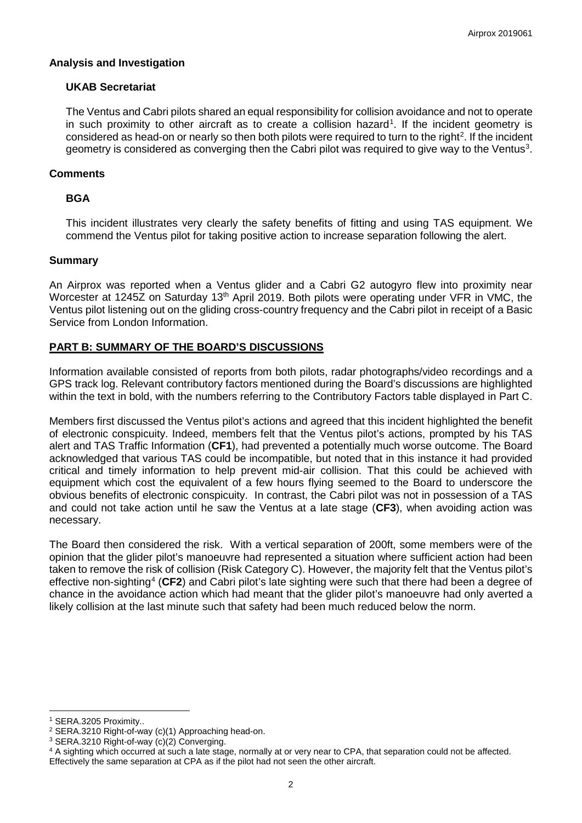## **Analysis and Investigation**

# **UKAB Secretariat**

The Ventus and Cabri pilots shared an equal responsibility for collision avoidance and not to operate in such proximity to other aircraft as to create a collision hazard<sup>[1](#page-1-0)</sup>. If the incident geometry is considered as head-on or nearly so then both pilots were required to turn to the right<sup>[2](#page-1-1)</sup>. If the incident geometry is considered as converging then the Cabri pilot was required to give way to the Ventus<sup>[3](#page-1-2)</sup>.

## **Comments**

# **BGA**

This incident illustrates very clearly the safety benefits of fitting and using TAS equipment. We commend the Ventus pilot for taking positive action to increase separation following the alert.

#### **Summary**

An Airprox was reported when a Ventus glider and a Cabri G2 autogyro flew into proximity near Worcester at 1245Z on Saturday 13<sup>th</sup> April 2019. Both pilots were operating under VFR in VMC, the Ventus pilot listening out on the gliding cross-country frequency and the Cabri pilot in receipt of a Basic Service from London Information.

# **PART B: SUMMARY OF THE BOARD'S DISCUSSIONS**

Information available consisted of reports from both pilots, radar photographs/video recordings and a GPS track log. Relevant contributory factors mentioned during the Board's discussions are highlighted within the text in bold, with the numbers referring to the Contributory Factors table displayed in Part C.

Members first discussed the Ventus pilot's actions and agreed that this incident highlighted the benefit of electronic conspicuity. Indeed, members felt that the Ventus pilot's actions, prompted by his TAS alert and TAS Traffic Information (**CF1**), had prevented a potentially much worse outcome. The Board acknowledged that various TAS could be incompatible, but noted that in this instance it had provided critical and timely information to help prevent mid-air collision. That this could be achieved with equipment which cost the equivalent of a few hours flying seemed to the Board to underscore the obvious benefits of electronic conspicuity. In contrast, the Cabri pilot was not in possession of a TAS and could not take action until he saw the Ventus at a late stage (**CF3**), when avoiding action was necessary.

The Board then considered the risk. With a vertical separation of 200ft, some members were of the opinion that the glider pilot's manoeuvre had represented a situation where sufficient action had been taken to remove the risk of collision (Risk Category C). However, the majority felt that the Ventus pilot's effective non-sighting<sup>[4](#page-1-3)</sup> (CF2) and Cabri pilot's late sighting were such that there had been a degree of chance in the avoidance action which had meant that the glider pilot's manoeuvre had only averted a likely collision at the last minute such that safety had been much reduced below the norm.

 $\overline{\phantom{a}}$ 

<span id="page-1-1"></span><span id="page-1-0"></span><sup>&</sup>lt;sup>1</sup> SERA.3205 Proximity..<br><sup>2</sup> SERA.3210 Right-of-way (c)(1) Approaching head-on.

<span id="page-1-3"></span><span id="page-1-2"></span><sup>&</sup>lt;sup>3</sup> SERA.3210 Right-of-way (c)(2) Converging bead-on. 3 SERA.3210 Right-of-way (c)(2) Converging. 4 A sighting which occurred at such a late stage, normally at or very near to CPA, that separation could not be affected. Effectively the same separation at CPA as if the pilot had not seen the other aircraft.